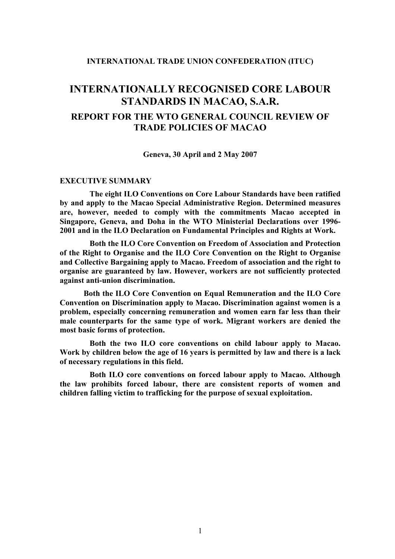## **INTERNATIONAL TRADE UNION CONFEDERATION (ITUC)**

# **INTERNATIONALLY RECOGNISED CORE LABOUR STANDARDS IN MACAO, S.A.R. REPORT FOR THE WTO GENERAL COUNCIL REVIEW OF TRADE POLICIES OF MACAO**

**Geneva, 30 April and 2 May 2007** 

## **EXECUTIVE SUMMARY**

**The eight ILO Conventions on Core Labour Standards have been ratified by and apply to the Macao Special Administrative Region. Determined measures are, however, needed to comply with the commitments Macao accepted in Singapore, Geneva, and Doha in the WTO Ministerial Declarations over 1996- 2001 and in the ILO Declaration on Fundamental Principles and Rights at Work.** 

**Both the ILO Core Convention on Freedom of Association and Protection of the Right to Organise and the ILO Core Convention on the Right to Organise and Collective Bargaining apply to Macao. Freedom of association and the right to organise are guaranteed by law. However, workers are not sufficiently protected against anti-union discrimination.** 

**Both the ILO Core Convention on Equal Remuneration and the ILO Core Convention on Discrimination apply to Macao. Discrimination against women is a problem, especially concerning remuneration and women earn far less than their male counterparts for the same type of work. Migrant workers are denied the most basic forms of protection.** 

**Both the two ILO core conventions on child labour apply to Macao. Work by children below the age of 16 years is permitted by law and there is a lack of necessary regulations in this field.** 

**Both ILO core conventions on forced labour apply to Macao. Although the law prohibits forced labour, there are consistent reports of women and children falling victim to trafficking for the purpose of sexual exploitation.**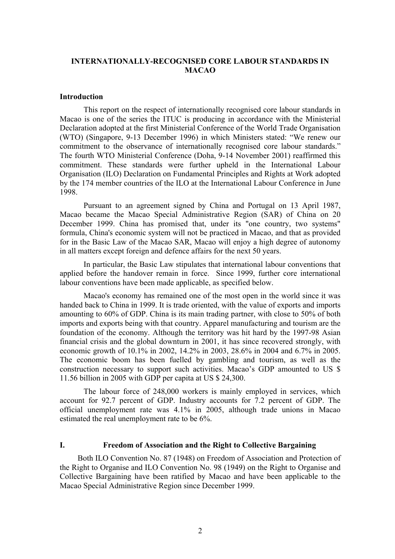# **INTERNATIONALLY-RECOGNISED CORE LABOUR STANDARDS IN MACAO**

#### **Introduction**

This report on the respect of internationally recognised core labour standards in Macao is one of the series the ITUC is producing in accordance with the Ministerial Declaration adopted at the first Ministerial Conference of the World Trade Organisation (WTO) (Singapore, 9-13 December 1996) in which Ministers stated: "We renew our commitment to the observance of internationally recognised core labour standards." The fourth WTO Ministerial Conference (Doha, 9-14 November 2001) reaffirmed this commitment. These standards were further upheld in the International Labour Organisation (ILO) Declaration on Fundamental Principles and Rights at Work adopted by the 174 member countries of the ILO at the International Labour Conference in June 1998.

Pursuant to an agreement signed by China and Portugal on 13 April 1987, Macao became the Macao Special Administrative Region (SAR) of China on 20 December 1999. China has promised that, under its "one country, two systems" formula, China's economic system will not be practiced in Macao, and that as provided for in the Basic Law of the Macao SAR, Macao will enjoy a high degree of autonomy in all matters except foreign and defence affairs for the next 50 years.

In particular, the Basic Law stipulates that international labour conventions that applied before the handover remain in force. Since 1999, further core international labour conventions have been made applicable, as specified below.

Macao's economy has remained one of the most open in the world since it was handed back to China in 1999. It is trade oriented, with the value of exports and imports amounting to 60% of GDP. China is its main trading partner, with close to 50% of both imports and exports being with that country. Apparel manufacturing and tourism are the foundation of the economy. Although the territory was hit hard by the 1997-98 Asian financial crisis and the global downturn in 2001, it has since recovered strongly, with economic growth of 10.1% in 2002, 14.2% in 2003, 28.6% in 2004 and 6.7% in 2005. The economic boom has been fuelled by gambling and tourism, as well as the construction necessary to support such activities. Macao's GDP amounted to US \$ 11.56 billion in 2005 with GDP per capita at US \$ 24,300.

The labour force of 248,000 workers is mainly employed in services, which account for 92.7 percent of GDP. Industry accounts for 7.2 percent of GDP. The official unemployment rate was 4.1% in 2005, although trade unions in Macao estimated the real unemployment rate to be 6%.

#### **I. Freedom of Association and the Right to Collective Bargaining**

Both ILO Convention No. 87 (1948) on Freedom of Association and Protection of the Right to Organise and ILO Convention No. 98 (1949) on the Right to Organise and Collective Bargaining have been ratified by Macao and have been applicable to the Macao Special Administrative Region since December 1999.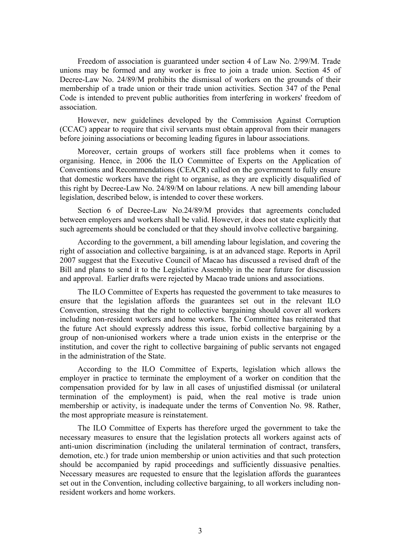Freedom of association is guaranteed under section 4 of Law No. 2/99/M. Trade unions may be formed and any worker is free to join a trade union. Section 45 of Decree-Law No. 24/89/M prohibits the dismissal of workers on the grounds of their membership of a trade union or their trade union activities. Section 347 of the Penal Code is intended to prevent public authorities from interfering in workers' freedom of association.

However, new guidelines developed by the Commission Against Corruption (CCAC) appear to require that civil servants must obtain approval from their managers before joining associations or becoming leading figures in labour associations.

Moreover, certain groups of workers still face problems when it comes to organising. Hence, in 2006 the ILO Committee of Experts on the Application of Conventions and Recommendations (CEACR) called on the government to fully ensure that domestic workers have the right to organise, as they are explicitly disqualified of this right by Decree-Law No. 24/89/M on labour relations. A new bill amending labour legislation, described below, is intended to cover these workers.

Section 6 of Decree-Law No.24/89/M provides that agreements concluded between employers and workers shall be valid. However, it does not state explicitly that such agreements should be concluded or that they should involve collective bargaining.

According to the government, a bill amending labour legislation, and covering the right of association and collective bargaining, is at an advanced stage. Reports in April 2007 suggest that the Executive Council of Macao has discussed a revised draft of the Bill and plans to send it to the Legislative Assembly in the near future for discussion and approval. Earlier drafts were rejected by Macao trade unions and associations.

The ILO Committee of Experts has requested the government to take measures to ensure that the legislation affords the guarantees set out in the relevant ILO Convention, stressing that the right to collective bargaining should cover all workers including non-resident workers and home workers. The Committee has reiterated that the future Act should expressly address this issue, forbid collective bargaining by a group of non-unionised workers where a trade union exists in the enterprise or the institution, and cover the right to collective bargaining of public servants not engaged in the administration of the State.

According to the ILO Committee of Experts, legislation which allows the employer in practice to terminate the employment of a worker on condition that the compensation provided for by law in all cases of unjustified dismissal (or unilateral termination of the employment) is paid, when the real motive is trade union membership or activity, is inadequate under the terms of Convention No. 98. Rather, the most appropriate measure is reinstatement.

The ILO Committee of Experts has therefore urged the government to take the necessary measures to ensure that the legislation protects all workers against acts of anti-union discrimination (including the unilateral termination of contract, transfers, demotion, etc.) for trade union membership or union activities and that such protection should be accompanied by rapid proceedings and sufficiently dissuasive penalties. Necessary measures are requested to ensure that the legislation affords the guarantees set out in the Convention, including collective bargaining, to all workers including nonresident workers and home workers.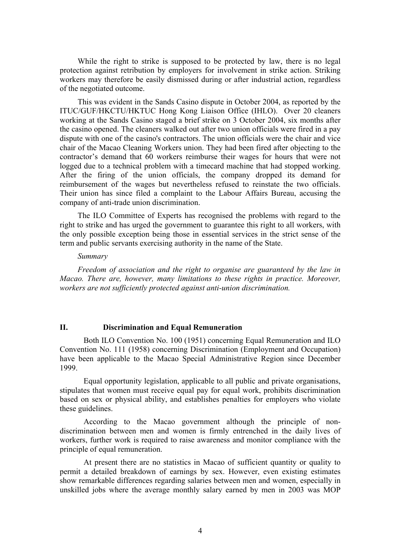While the right to strike is supposed to be protected by law, there is no legal protection against retribution by employers for involvement in strike action. Striking workers may therefore be easily dismissed during or after industrial action, regardless of the negotiated outcome.

This was evident in the Sands Casino dispute in October 2004, as reported by the ITUC/GUF/HKCTU/HKTUC Hong Kong Liaison Office (IHLO). Over 20 cleaners working at the Sands Casino staged a brief strike on 3 October 2004, six months after the casino opened. The cleaners walked out after two union officials were fired in a pay dispute with one of the casino's contractors. The union officials were the chair and vice chair of the Macao Cleaning Workers union. They had been fired after objecting to the contractor's demand that 60 workers reimburse their wages for hours that were not logged due to a technical problem with a timecard machine that had stopped working. After the firing of the union officials, the company dropped its demand for reimbursement of the wages but nevertheless refused to reinstate the two officials. Their union has since filed a complaint to the Labour Affairs Bureau, accusing the company of anti-trade union discrimination.

The ILO Committee of Experts has recognised the problems with regard to the right to strike and has urged the government to guarantee this right to all workers, with the only possible exception being those in essential services in the strict sense of the term and public servants exercising authority in the name of the State.

#### *Summary*

*Freedom of association and the right to organise are guaranteed by the law in Macao. There are, however, many limitations to these rights in practice. Moreover, workers are not sufficiently protected against anti-union discrimination.* 

# **II. Discrimination and Equal Remuneration**

Both ILO Convention No. 100 (1951) concerning Equal Remuneration and ILO Convention No. 111 (1958) concerning Discrimination (Employment and Occupation) have been applicable to the Macao Special Administrative Region since December 1999.

Equal opportunity legislation, applicable to all public and private organisations, stipulates that women must receive equal pay for equal work, prohibits discrimination based on sex or physical ability, and establishes penalties for employers who violate these guidelines.

According to the Macao government although the principle of nondiscrimination between men and women is firmly entrenched in the daily lives of workers, further work is required to raise awareness and monitor compliance with the principle of equal remuneration.

At present there are no statistics in Macao of sufficient quantity or quality to permit a detailed breakdown of earnings by sex. However, even existing estimates show remarkable differences regarding salaries between men and women, especially in unskilled jobs where the average monthly salary earned by men in 2003 was MOP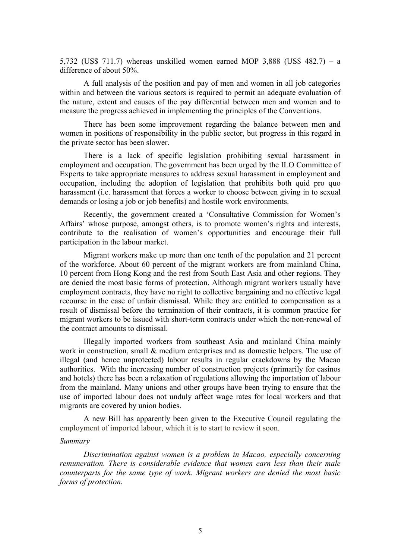5,732 (US\$ 711.7) whereas unskilled women earned MOP 3,888 (US\$ 482.7) – a difference of about 50%.

A full analysis of the position and pay of men and women in all job categories within and between the various sectors is required to permit an adequate evaluation of the nature, extent and causes of the pay differential between men and women and to measure the progress achieved in implementing the principles of the Conventions.

There has been some improvement regarding the balance between men and women in positions of responsibility in the public sector, but progress in this regard in the private sector has been slower.

There is a lack of specific legislation prohibiting sexual harassment in employment and occupation. The government has been urged by the ILO Committee of Experts to take appropriate measures to address sexual harassment in employment and occupation, including the adoption of legislation that prohibits both quid pro quo harassment (i.e. harassment that forces a worker to choose between giving in to sexual demands or losing a job or job benefits) and hostile work environments.

Recently, the government created a 'Consultative Commission for Women's Affairs' whose purpose, amongst others, is to promote women's rights and interests, contribute to the realisation of women's opportunities and encourage their full participation in the labour market.

Migrant workers make up more than one tenth of the population and 21 percent of the workforce. About 60 percent of the migrant workers are from mainland China, 10 percent from Hong Kong and the rest from South East Asia and other regions. They are denied the most basic forms of protection. Although migrant workers usually have employment contracts, they have no right to collective bargaining and no effective legal recourse in the case of unfair dismissal. While they are entitled to compensation as a result of dismissal before the termination of their contracts, it is common practice for migrant workers to be issued with short-term contracts under which the non-renewal of the contract amounts to dismissal.

Illegally imported workers from southeast Asia and mainland China mainly work in construction, small & medium enterprises and as domestic helpers. The use of illegal (and hence unprotected) labour results in regular crackdowns by the Macao authorities. With the increasing number of construction projects (primarily for casinos and hotels) there has been a relaxation of regulations allowing the importation of labour from the mainland. Many unions and other groups have been trying to ensure that the use of imported labour does not unduly affect wage rates for local workers and that migrants are covered by union bodies.

A new Bill has apparently been given to the Executive Council regulating the employment of imported labour, which it is to start to review it soon.

#### *Summary*

*Discrimination against women is a problem in Macao, especially concerning remuneration. There is considerable evidence that women earn less than their male counterparts for the same type of work. Migrant workers are denied the most basic forms of protection.*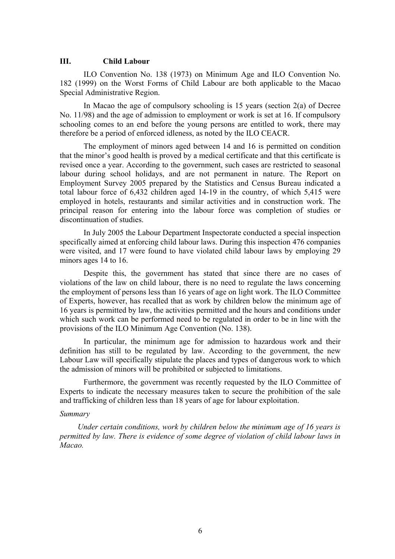## **III. Child Labour**

ILO Convention No. 138 (1973) on Minimum Age and ILO Convention No. 182 (1999) on the Worst Forms of Child Labour are both applicable to the Macao Special Administrative Region.

In Macao the age of compulsory schooling is 15 years (section 2(a) of Decree No. 11/98) and the age of admission to employment or work is set at 16. If compulsory schooling comes to an end before the young persons are entitled to work, there may therefore be a period of enforced idleness, as noted by the ILO CEACR.

The employment of minors aged between 14 and 16 is permitted on condition that the minor's good health is proved by a medical certificate and that this certificate is revised once a year. According to the government, such cases are restricted to seasonal labour during school holidays, and are not permanent in nature. The Report on Employment Survey 2005 prepared by the Statistics and Census Bureau indicated a total labour force of 6,432 children aged 14-19 in the country, of which 5,415 were employed in hotels, restaurants and similar activities and in construction work. The principal reason for entering into the labour force was completion of studies or discontinuation of studies.

In July 2005 the Labour Department Inspectorate conducted a special inspection specifically aimed at enforcing child labour laws. During this inspection 476 companies were visited, and 17 were found to have violated child labour laws by employing 29 minors ages 14 to 16.

Despite this, the government has stated that since there are no cases of violations of the law on child labour, there is no need to regulate the laws concerning the employment of persons less than 16 years of age on light work. The ILO Committee of Experts, however, has recalled that as work by children below the minimum age of 16 years is permitted by law, the activities permitted and the hours and conditions under which such work can be performed need to be regulated in order to be in line with the provisions of the ILO Minimum Age Convention (No. 138).

In particular, the minimum age for admission to hazardous work and their definition has still to be regulated by law. According to the government, the new Labour Law will specifically stipulate the places and types of dangerous work to which the admission of minors will be prohibited or subjected to limitations.

Furthermore, the government was recently requested by the ILO Committee of Experts to indicate the necessary measures taken to secure the prohibition of the sale and trafficking of children less than 18 years of age for labour exploitation.

#### *Summary*

*Under certain conditions, work by children below the minimum age of 16 years is permitted by law. There is evidence of some degree of violation of child labour laws in Macao.*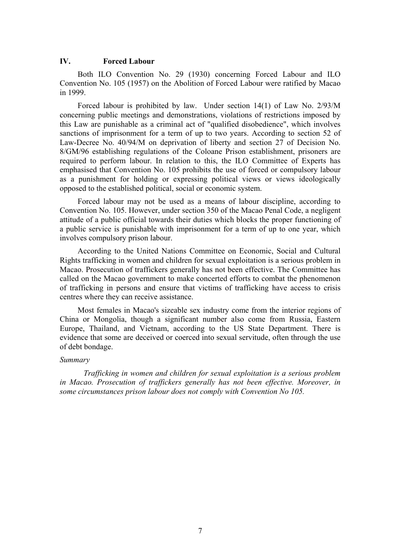## **IV. Forced Labour**

Both ILO Convention No. 29 (1930) concerning Forced Labour and ILO Convention No. 105 (1957) on the Abolition of Forced Labour were ratified by Macao in 1999.

Forced labour is prohibited by law. Under section 14(1) of Law No. 2/93/M concerning public meetings and demonstrations, violations of restrictions imposed by this Law are punishable as a criminal act of "qualified disobedience", which involves sanctions of imprisonment for a term of up to two years. According to section 52 of Law-Decree No. 40/94/M on deprivation of liberty and section 27 of Decision No. 8/GM/96 establishing regulations of the Coloane Prison establishment, prisoners are required to perform labour. In relation to this, the ILO Committee of Experts has emphasised that Convention No. 105 prohibits the use of forced or compulsory labour as a punishment for holding or expressing political views or views ideologically opposed to the established political, social or economic system.

Forced labour may not be used as a means of labour discipline, according to Convention No. 105. However, under section 350 of the Macao Penal Code, a negligent attitude of a public official towards their duties which blocks the proper functioning of a public service is punishable with imprisonment for a term of up to one year, which involves compulsory prison labour.

According to the United Nations Committee on Economic, Social and Cultural Rights trafficking in women and children for sexual exploitation is a serious problem in Macao. Prosecution of traffickers generally has not been effective. The Committee has called on the Macao government to make concerted efforts to combat the phenomenon of trafficking in persons and ensure that victims of trafficking have access to crisis centres where they can receive assistance.

Most females in Macao's sizeable sex industry come from the interior regions of China or Mongolia, though a significant number also come from Russia, Eastern Europe, Thailand, and Vietnam, according to the US State Department. There is evidence that some are deceived or coerced into sexual servitude, often through the use of debt bondage.

# *Summary*

*Trafficking in women and children for sexual exploitation is a serious problem in Macao. Prosecution of traffickers generally has not been effective. Moreover, in some circumstances prison labour does not comply with Convention No 105.*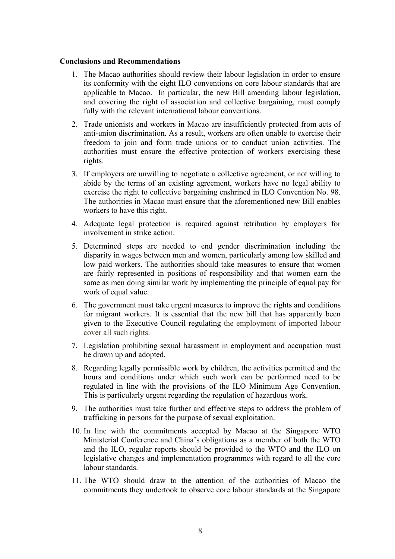## **Conclusions and Recommendations**

- 1. The Macao authorities should review their labour legislation in order to ensure its conformity with the eight ILO conventions on core labour standards that are applicable to Macao. In particular, the new Bill amending labour legislation, and covering the right of association and collective bargaining, must comply fully with the relevant international labour conventions.
- 2. Trade unionists and workers in Macao are insufficiently protected from acts of anti-union discrimination. As a result, workers are often unable to exercise their freedom to join and form trade unions or to conduct union activities. The authorities must ensure the effective protection of workers exercising these rights.
- 3. If employers are unwilling to negotiate a collective agreement, or not willing to abide by the terms of an existing agreement, workers have no legal ability to exercise the right to collective bargaining enshrined in ILO Convention No. 98. The authorities in Macao must ensure that the aforementioned new Bill enables workers to have this right.
- 4. Adequate legal protection is required against retribution by employers for involvement in strike action.
- 5. Determined steps are needed to end gender discrimination including the disparity in wages between men and women, particularly among low skilled and low paid workers. The authorities should take measures to ensure that women are fairly represented in positions of responsibility and that women earn the same as men doing similar work by implementing the principle of equal pay for work of equal value.
- 6. The government must take urgent measures to improve the rights and conditions for migrant workers. It is essential that the new bill that has apparently been given to the Executive Council regulating the employment of imported labour cover all such rights.
- 7. Legislation prohibiting sexual harassment in employment and occupation must be drawn up and adopted.
- 8. Regarding legally permissible work by children, the activities permitted and the hours and conditions under which such work can be performed need to be regulated in line with the provisions of the ILO Minimum Age Convention. This is particularly urgent regarding the regulation of hazardous work.
- 9. The authorities must take further and effective steps to address the problem of trafficking in persons for the purpose of sexual exploitation.
- 10. In line with the commitments accepted by Macao at the Singapore WTO Ministerial Conference and China's obligations as a member of both the WTO and the ILO, regular reports should be provided to the WTO and the ILO on legislative changes and implementation programmes with regard to all the core labour standards.
- 11. The WTO should draw to the attention of the authorities of Macao the commitments they undertook to observe core labour standards at the Singapore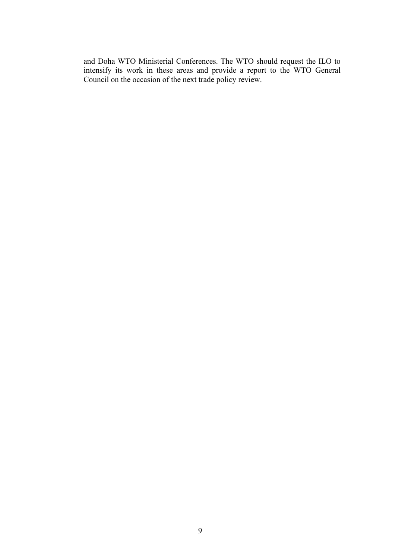and Doha WTO Ministerial Conferences. The WTO should request the ILO to intensify its work in these areas and provide a report to the WTO General Council on the occasion of the next trade policy review.